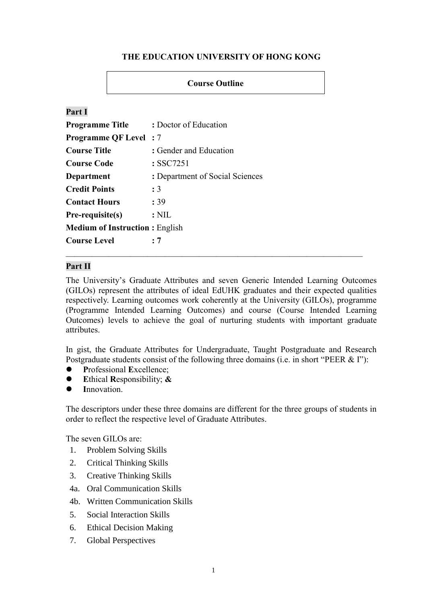# **THE EDUCATION UNIVERSITY OF HONG KONG**

## **Course Outline**

## **Part I**

| <b>Programme Title</b>                | : Doctor of Education           |  |
|---------------------------------------|---------------------------------|--|
| <b>Programme QF Level</b> : 7         |                                 |  |
| <b>Course Title</b>                   | : Gender and Education          |  |
| <b>Course Code</b>                    | $:$ SSC7251                     |  |
| Department                            | : Department of Social Sciences |  |
| <b>Credit Points</b>                  | : 3                             |  |
| <b>Contact Hours</b>                  | : 39                            |  |
| Pre-requisite(s)                      | $:$ NIL                         |  |
| <b>Medium of Instruction: English</b> |                                 |  |
| <b>Course Level</b>                   | : 7                             |  |

## **Part II**

The University's Graduate Attributes and seven Generic Intended Learning Outcomes (GILOs) represent the attributes of ideal EdUHK graduates and their expected qualities respectively. Learning outcomes work coherently at the University (GILOs), programme (Programme Intended Learning Outcomes) and course (Course Intended Learning Outcomes) levels to achieve the goal of nurturing students with important graduate attributes.

In gist, the Graduate Attributes for Undergraduate, Taught Postgraduate and Research Postgraduate students consist of the following three domains (i.e. in short "PEER & I"):

- ⚫ **P**rofessional **E**xcellence;
- ⚫ **E**thical **R**esponsibility; **&**
- ⚫ **I**nnovation.

The descriptors under these three domains are different for the three groups of students in order to reflect the respective level of Graduate Attributes.

The seven GILOs are:

- 1. Problem Solving Skills
- 2. Critical Thinking Skills
- 3. Creative Thinking Skills
- 4a. Oral Communication Skills
- 4b. Written Communication Skills
- 5. Social Interaction Skills
- 6. Ethical Decision Making
- 7. Global Perspectives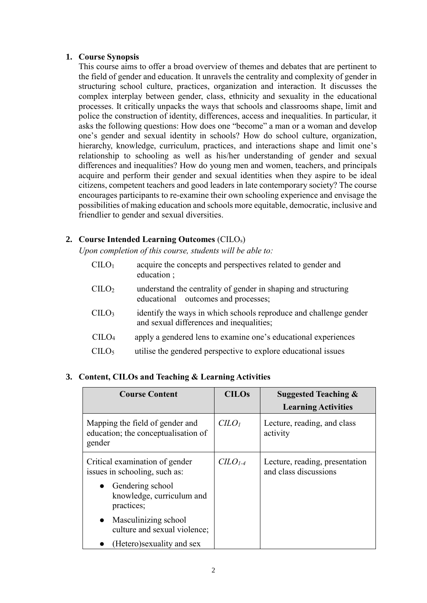## **1. Course Synopsis**

This course aims to offer a broad overview of themes and debates that are pertinent to the field of gender and education. It unravels the centrality and complexity of gender in structuring school culture, practices, organization and interaction. It discusses the complex interplay between gender, class, ethnicity and sexuality in the educational processes. It critically unpacks the ways that schools and classrooms shape, limit and police the construction of identity, differences, access and inequalities. In particular, it asks the following questions: How does one "become" a man or a woman and develop one's gender and sexual identity in schools? How do school culture, organization, hierarchy, knowledge, curriculum, practices, and interactions shape and limit one's relationship to schooling as well as his/her understanding of gender and sexual differences and inequalities? How do young men and women, teachers, and principals acquire and perform their gender and sexual identities when they aspire to be ideal citizens, competent teachers and good leaders in late contemporary society? The course encourages participants to re-examine their own schooling experience and envisage the possibilities of making education and schools more equitable, democratic, inclusive and friendlier to gender and sexual diversities.

# **2. Course Intended Learning Outcomes** (CILOs)

*Upon completion of this course, students will be able to:*

| CLLO <sub>1</sub> | acquire the concepts and perspectives related to gender and<br>education;                                     |
|-------------------|---------------------------------------------------------------------------------------------------------------|
| CLLO <sub>2</sub> | understand the centrality of gender in shaping and structuring<br>educational outcomes and processes;         |
| C <sub>II</sub>   | identify the ways in which schools reproduce and challenge gender<br>and sexual differences and inequalities; |
| $CII O4$          | apply a gendered lens to examine one's educational experiences                                                |
| CHO <sub>5</sub>  | utilise the gendered perspective to explore educational issues                                                |

# **3. Content, CILOs and Teaching & Learning Activities**

| <b>Course Content</b>                                                            | <b>CILOs</b>                | <b>Suggested Teaching &amp;</b><br><b>Learning Activities</b> |
|----------------------------------------------------------------------------------|-----------------------------|---------------------------------------------------------------|
| Mapping the field of gender and<br>education; the conceptualisation of<br>gender | C <sub>LO<sub>l</sub></sub> | Lecture, reading, and class<br>activity                       |
| Critical examination of gender<br>issues in schooling, such as:                  | $CLO1-4$                    | Lecture, reading, presentation<br>and class discussions       |
| Gendering school<br>knowledge, curriculum and<br>practices;                      |                             |                                                               |
| • Masculinizing school<br>culture and sexual violence;                           |                             |                                                               |
| (Hetero) sexuality and sex                                                       |                             |                                                               |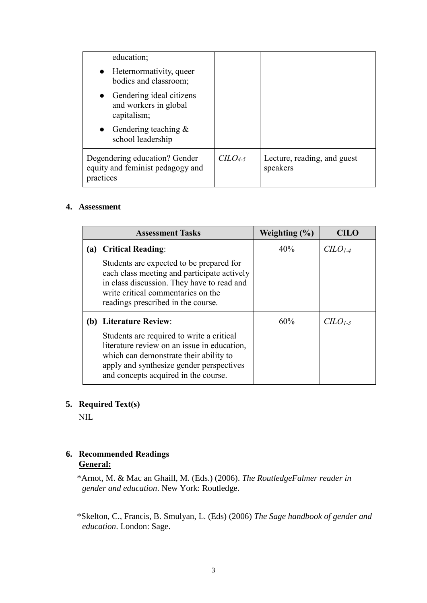| education;                                                                     |          |                                         |
|--------------------------------------------------------------------------------|----------|-----------------------------------------|
| • Heternormativity, queer<br>bodies and classroom;                             |          |                                         |
| • Gendering ideal citizens<br>and workers in global<br>capitalism;             |          |                                         |
| • Gendering teaching $&$<br>school leadership                                  |          |                                         |
| Degendering education? Gender<br>equity and feminist pedagogy and<br>practices | $CLO4-5$ | Lecture, reading, and guest<br>speakers |

## **4. Assessment**

| <b>Assessment Tasks</b> |                                                                                                                                                                                                                        | Weighting $(\% )$ | CILO     |
|-------------------------|------------------------------------------------------------------------------------------------------------------------------------------------------------------------------------------------------------------------|-------------------|----------|
|                         | (a) Critical Reading:                                                                                                                                                                                                  | 40%               | $CLO1-4$ |
|                         | Students are expected to be prepared for<br>each class meeting and participate actively<br>in class discussion. They have to read and<br>write critical commentaries on the<br>readings prescribed in the course.      |                   |          |
|                         | (b) Literature Review:                                                                                                                                                                                                 | 60%               | $CLO1-3$ |
|                         | Students are required to write a critical<br>literature review on an issue in education,<br>which can demonstrate their ability to<br>apply and synthesize gender perspectives<br>and concepts acquired in the course. |                   |          |

# **5. Required Text(s)**

NIL

# **6. Recommended Readings General:**

\*Arnot, M. & Mac an Ghaill, M. (Eds.) (2006). *The RoutledgeFalmer reader in gender and education*. New York: Routledge.

\*Skelton, C., Francis, B. Smulyan, L. (Eds) (2006) *The Sage handbook of gender and education*. London: Sage.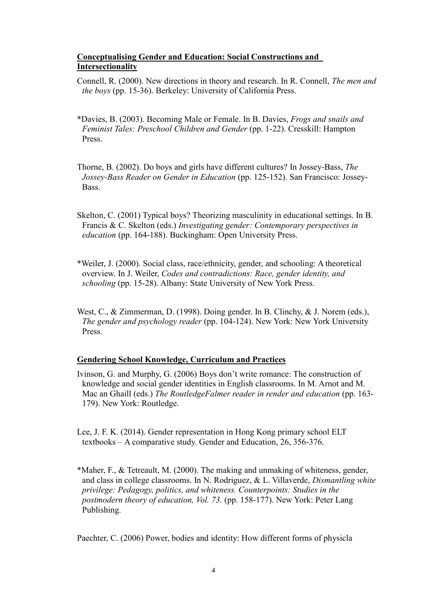## **Conceptualising Gender and Education: Social Constructions and Intersectionality**

Connell, R. (2000). New directions in theory and research. In R. Connell, *The men and the boys* (pp. 15-36). Berkeley: University of California Press.

- \*Davies, B. (2003). Becoming Male or Female. In B. Davies, *Frogs and snails and Feminist Tales: Preschool Children and Gender* (pp. 1-22). Cresskill: Hampton Press.
- Thorne, B. (2002). Do boys and girls have different cultures? In Jossey-Bass, *The Jossey-Bass Reader on Gender in Education* (pp. 125-152). San Francisco: Jossey-Bass.
- Skelton, C. (2001) Typical boys? Theorizing masculinity in educational settings. In B. Francis & C. Skelton (eds.) *Investigating gender: Contemporary perspectives in education* (pp. 164-188). Buckingham: Open University Press.
- \*Weiler, J. (2000). Social class, race/ethnicity, gender, and schooling: A theoretical overview. In J. Weiler, *Codes and contradictions: Race, gender identity, and schooling* (pp. 15-28). Albany: State University of New York Press.
- West, C., & Zimmerman, D. (1998). Doing gender. In B. Clinchy, & J. Norem (eds.), *The gender and psychology reader* (pp. 104-124). New York: New York University Press.

## **Gendering School Knowledge, Curriculum and Practices**

Ivinson, G. and Murphy, G. (2006) Boys don't write romance: The construction of knowledge and social gender identities in English classrooms. In M. Arnot and M. Mac an Ghaill (eds.) *The RoutledgeFalmer reader in render and education* (pp. 163- 179). New York: Routledge.

Lee, J. F. K. (2014). Gender representation in Hong Kong primary school ELT textbooks – A comparative study. Gender and Education, 26, 356-376.

\*Maher, F., & Tetreault, M. (2000). The making and unmaking of whiteness, gender, and class in college classrooms. In N. Rodriguez, & L. Villaverde, *Dismantling white privilege: Pedagogy, politics, and whiteness. Counterpoints: Studies in the postmodern theory of education, Vol. 73.* (pp. 158-177). New York: Peter Lang Publishing.

Paechter, C. (2006) Power, bodies and identity: How different forms of physicla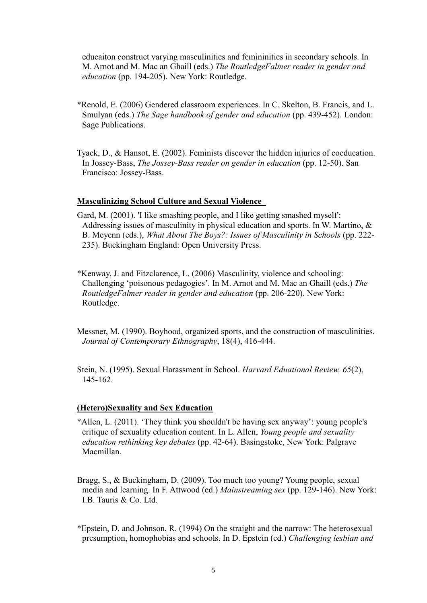educaiton construct varying masculinities and femininities in secondary schools. In M. Arnot and M. Mac an Ghaill (eds.) *The RoutledgeFalmer reader in gender and education* (pp. 194-205). New York: Routledge.

- \*Renold, E. (2006) Gendered classroom experiences. In C. Skelton, B. Francis, and L. Smulyan (eds.) *The Sage handbook of gender and education* (pp. 439-452). London: Sage Publications.
- Tyack, D., & Hansot, E. (2002). Feminists discover the hidden injuries of coeducation. In Jossey-Bass, *The Jossey-Bass reader on gender in education* (pp. 12-50). San Francisco: Jossey-Bass.

#### **Masculinizing School Culture and Sexual Violence**

- Gard, M. (2001). 'I like smashing people, and I like getting smashed myself': Addressing issues of masculinity in physical education and sports. In W. Martino, & B. Meyenn (eds.), *What About The Boys?: Issues of Masculinity in Schools* (pp. 222- 235). Buckingham England: Open University Press.
- \*Kenway, J. and Fitzclarence, L. (2006) Masculinity, violence and schooling: Challenging 'poisonous pedagogies'. In M. Arnot and M. Mac an Ghaill (eds.) *The RoutledgeFalmer reader in gender and education* (pp. 206-220). New York: Routledge.

Messner, M. (1990). Boyhood, organized sports, and the construction of masculinities. *Journal of Contemporary Ethnography*, 18(4), 416-444.

Stein, N. (1995). Sexual Harassment in School. *Harvard Eduational Review, 65*(2), 145-162.

#### **(Hetero)Sexuality and Sex Education**

- \*Allen, L. (2011). 'They think you shouldn't be having sex anyway': young people's critique of sexuality education content. In L. Allen, *Young people and sexuality education rethinking key debates* (pp. 42-64). Basingstoke, New York: Palgrave Macmillan.
- Bragg, S., & Buckingham, D. (2009). Too much too young? Young people, sexual media and learning. In F. Attwood (ed.) *Mainstreaming sex* (pp. 129-146). New York: I.B. Tauris & Co. Ltd.
- \*Epstein, D. and Johnson, R. (1994) On the straight and the narrow: The heterosexual presumption, homophobias and schools. In D. Epstein (ed.) *Challenging lesbian and*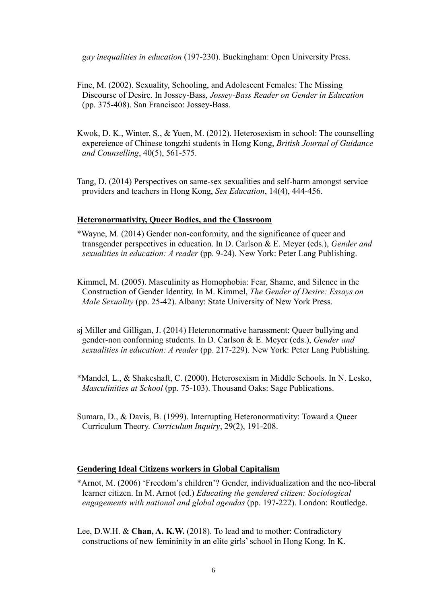*gay inequalities in education* (197-230). Buckingham: Open University Press.

- Fine, M. (2002). Sexuality, Schooling, and Adolescent Females: The Missing Discourse of Desire. In Jossey-Bass, *Jossey-Bass Reader on Gender in Education* (pp. 375-408). San Francisco: Jossey-Bass.
- Kwok, D. K., Winter, S., & Yuen, M. (2012). Heterosexism in school: The counselling expereience of Chinese tongzhi students in Hong Kong, *British Journal of Guidance and Counselling*, 40(5), 561-575.

Tang, D. (2014) Perspectives on same-sex sexualities and self-harm amongst service providers and teachers in Hong Kong, *Sex Education*, 14(4), 444-456.

#### **Heteronormativity, Queer Bodies, and the Classroom**

- \*Wayne, M. (2014) Gender non-conformity, and the significance of queer and transgender perspectives in education. In D. Carlson & E. Meyer (eds.), *Gender and sexualities in education: A reader* (pp. 9-24). New York: Peter Lang Publishing.
- Kimmel, M. (2005). Masculinity as Homophobia: Fear, Shame, and Silence in the Construction of Gender Identity. In M. Kimmel, *The Gender of Desire: Essays on Male Sexuality* (pp. 25-42). Albany: State University of New York Press.
- sj Miller and Gilligan, J. (2014) Heteronormative harassment: Queer bullying and gender-non conforming students. In D. Carlson & E. Meyer (eds.), *Gender and sexualities in education: A reader* (pp. 217-229). New York: Peter Lang Publishing.
- \*Mandel, L., & Shakeshaft, C. (2000). Heterosexism in Middle Schools. In N. Lesko, *Masculinities at School* (pp. 75-103). Thousand Oaks: Sage Publications.
- Sumara, D., & Davis, B. (1999). Interrupting Heteronormativity: Toward a Queer Curriculum Theory. *Curriculum Inquiry*, 29(2), 191-208.

#### **Gendering Ideal Citizens workers in Global Capitalism**

- \*Arnot, M. (2006) 'Freedom's children'? Gender, individualization and the neo-liberal learner citizen. In M. Arnot (ed.) *Educating the gendered citizen: Sociological engagements with national and global agendas* (pp. 197-222). London: Routledge.
- Lee, D.W.H. & **Chan, A. K.W.** (2018). To lead and to mother: Contradictory constructions of new femininity in an elite girls' school in Hong Kong. In K.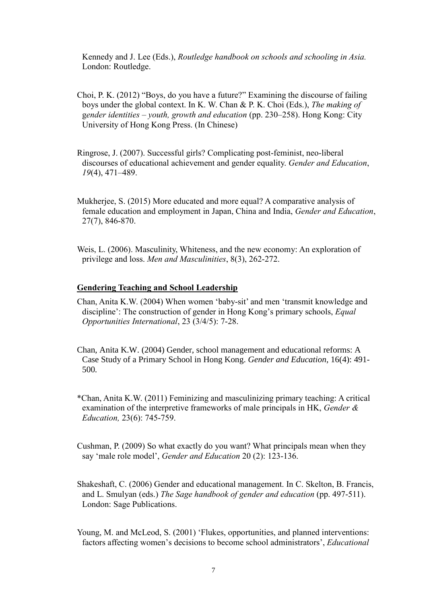Kennedy and J. Lee (Eds.), *Routledge handbook on schools and schooling in Asia.* London: Routledge.

- Choi, P. K. (2012) "Boys, do you have a future?" Examining the discourse of failing boys under the global context. In K. W. Chan & P. K. Choi (Eds.), *The making of* g*ender identities – youth, growth and education* (pp. 230–258). Hong Kong: City University of Hong Kong Press. (In Chinese)
- Ringrose, J. (2007). Successful girls? Complicating post-feminist, neo-liberal discourses of educational achievement and gender equality. *Gender and Education*, *19*(4), 471–489.
- Mukherjee, S. (2015) More educated and more equal? A comparative analysis of female education and employment in Japan, China and India, *Gender and Education*, 27(7), 846-870.
- Weis, L. (2006). Masculinity, Whiteness, and the new economy: An exploration of privilege and loss. *Men and Masculinities*, 8(3), 262-272.

#### **Gendering Teaching and School Leadership**

- Chan, Anita K.W. (2004) When women 'baby-sit' and men 'transmit knowledge and discipline': The construction of gender in Hong Kong's primary schools, *Equal Opportunities International*, 23 (3/4/5): 7-28.
- Chan, Anita K.W. (2004) Gender, school management and educational reforms: A Case Study of a Primary School in Hong Kong. *Gender and Education*, 16(4): 491- 500*.*
- \*Chan, Anita K.W. (2011) Feminizing and masculinizing primary teaching: A critical examination of the interpretive frameworks of male principals in HK, *Gender & Education,* 23(6): 745-759.
- Cushman, P. (2009) So what exactly do you want? What principals mean when they say 'male role model', *Gender and Education* 20 (2): 123-136.
- Shakeshaft, C. (2006) Gender and educational management. In C. Skelton, B. Francis, and L. Smulyan (eds.) *The Sage handbook of gender and education* (pp. 497-511). London: Sage Publications.
- Young, M. and McLeod, S. (2001) 'Flukes, opportunities, and planned interventions: factors affecting women's decisions to become school administrators', *Educational*